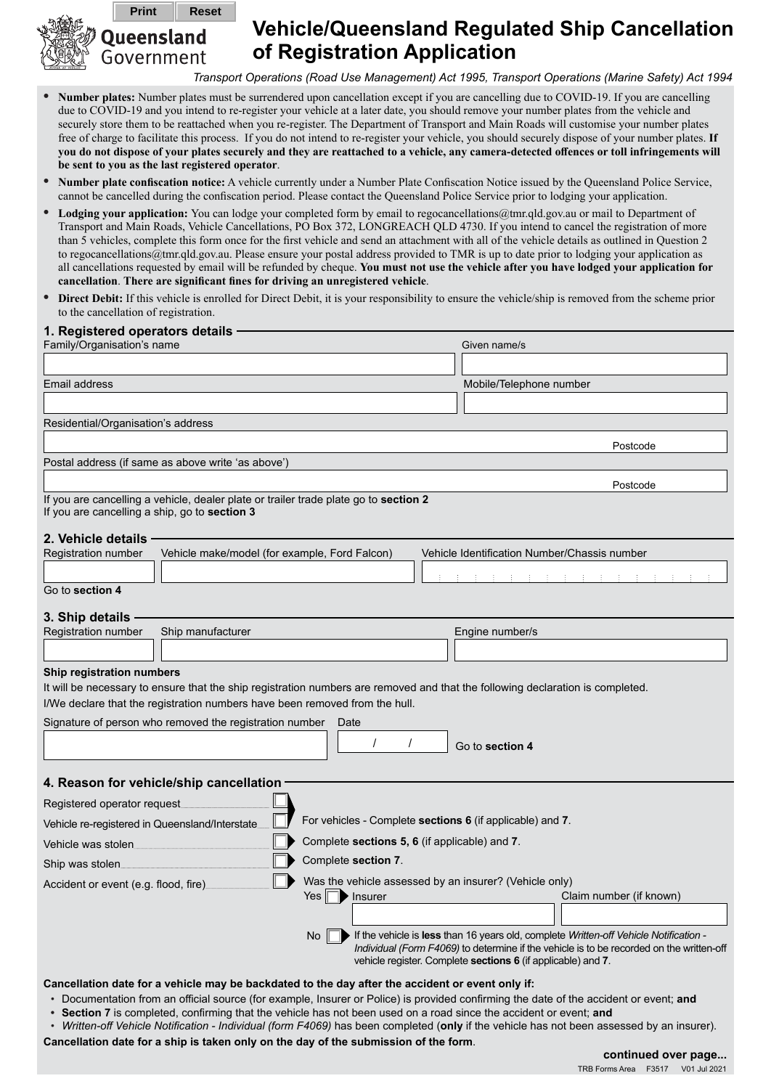

## **Vehicle/Queensland Regulated Ship Cancellation of Registration Application**

*Transport Operations (Road Use Management) Act 1995, Transport Operations (Marine Safety) Act 1994*

- **• Number plates:** Number plates must be surrendered upon cancellation except if you are cancelling due to COVID-19. If you are cancelling due to COVID-19 and you intend to re-register your vehicle at a later date, you should remove your number plates from the vehicle and securely store them to be reattached when you re-register. The Department of Transport and Main Roads will customise your number plates free of charge to facilitate this process. If you do not intend to re-register your vehicle, you should securely dispose of your number plates. **If you do not dispose of your plates securely and they are reattached to a vehicle, any camera-detected offences or toll infringements will be sent to you as the last registered operator**.
- **• Number plate confiscation notice:** A vehicle currently under a Number Plate Confiscation Notice issued by the Queensland Police Service, cannot be cancelled during the confiscation period. Please contact the Queensland Police Service prior to lodging your application.
- **• Lodging your application:** You can lodge your completed form by email to regocancellations@tmr.qld.gov.au or mail to Department of Transport and Main Roads, Vehicle Cancellations, PO Box 372, LONGREACH QLD 4730. If you intend to cancel the registration of more than 5 vehicles, complete this form once for the first vehicle and send an attachment with all of the vehicle details as outlined in Question 2 to regocancellations@tmr.qld.gov.au. Please ensure your postal address provided to TMR is up to date prior to lodging your application as all cancellations requested by email will be refunded by cheque. **You must not use the vehicle after you have lodged your application for cancellation**. **There are significant fines for driving an unregistered vehicle**.
- **• Direct Debit:** If this vehicle is enrolled for Direct Debit, it is your responsibility to ensure the vehicle/ship is removed from the scheme prior to the cancellation of registration.

| 1. Registered operators details<br>Family/Organisation's name                                                                         | Given name/s                                                                                                                                                                                                                                                 |
|---------------------------------------------------------------------------------------------------------------------------------------|--------------------------------------------------------------------------------------------------------------------------------------------------------------------------------------------------------------------------------------------------------------|
|                                                                                                                                       |                                                                                                                                                                                                                                                              |
| Email address                                                                                                                         | Mobile/Telephone number                                                                                                                                                                                                                                      |
|                                                                                                                                       |                                                                                                                                                                                                                                                              |
| Residential/Organisation's address                                                                                                    |                                                                                                                                                                                                                                                              |
|                                                                                                                                       | Postcode                                                                                                                                                                                                                                                     |
| Postal address (if same as above write 'as above')                                                                                    |                                                                                                                                                                                                                                                              |
|                                                                                                                                       | Postcode                                                                                                                                                                                                                                                     |
| If you are cancelling a vehicle, dealer plate or trailer trade plate go to section 2<br>If you are cancelling a ship, go to section 3 |                                                                                                                                                                                                                                                              |
|                                                                                                                                       |                                                                                                                                                                                                                                                              |
| 2. Vehicle details<br>Registration number                                                                                             | Vehicle make/model (for example, Ford Falcon)<br>Vehicle Identification Number/Chassis number                                                                                                                                                                |
|                                                                                                                                       |                                                                                                                                                                                                                                                              |
| Go to section 4                                                                                                                       |                                                                                                                                                                                                                                                              |
| 3. Ship details                                                                                                                       |                                                                                                                                                                                                                                                              |
| Registration number<br>Ship manufacturer                                                                                              | Engine number/s                                                                                                                                                                                                                                              |
|                                                                                                                                       |                                                                                                                                                                                                                                                              |
| Ship registration numbers                                                                                                             |                                                                                                                                                                                                                                                              |
|                                                                                                                                       | It will be necessary to ensure that the ship registration numbers are removed and that the following declaration is completed.                                                                                                                               |
| I/We declare that the registration numbers have been removed from the hull.                                                           |                                                                                                                                                                                                                                                              |
| Signature of person who removed the registration number                                                                               | Date                                                                                                                                                                                                                                                         |
|                                                                                                                                       | Go to section 4                                                                                                                                                                                                                                              |
| 4. Reason for vehicle/ship cancellation                                                                                               |                                                                                                                                                                                                                                                              |
| Registered operator request                                                                                                           |                                                                                                                                                                                                                                                              |
| Vehicle re-registered in Queensland/Interstate.                                                                                       | For vehicles - Complete sections 6 (if applicable) and 7.                                                                                                                                                                                                    |
| Vehicle was stolen.                                                                                                                   | Complete sections 5, 6 (if applicable) and 7.                                                                                                                                                                                                                |
| Ship was stolen                                                                                                                       | Complete section 7.                                                                                                                                                                                                                                          |
| Accident or event (e.g. flood, fire)                                                                                                  | Was the vehicle assessed by an insurer? (Vehicle only)                                                                                                                                                                                                       |
|                                                                                                                                       | Yes $\lceil$<br>Claim number (if known)<br>$\blacktriangleright$ Insurer                                                                                                                                                                                     |
|                                                                                                                                       |                                                                                                                                                                                                                                                              |
|                                                                                                                                       | No $\Box$ If the vehicle is less than 16 years old, complete Written-off Vehicle Notification -<br>Individual (Form F4069) to determine if the vehicle is to be recorded on the written-off                                                                  |
|                                                                                                                                       | vehicle register. Complete sections 6 (if applicable) and 7.                                                                                                                                                                                                 |
|                                                                                                                                       | Cancellation date for a vehicle may be backdated to the day after the accident or event only if:                                                                                                                                                             |
|                                                                                                                                       | • Documentation from an official source (for example, Insurer or Police) is provided confirming the date of the accident or event; and<br>• Section 7 is completed, confirming that the vehicle has not been used on a road since the accident or event; and |

*• Written-off Vehicle Notification - Individual (form F4069)* has been completed (**only** if the vehicle has not been assessed by an insurer).

**Cancellation date for a ship is taken only on the day of the submission of the form**.